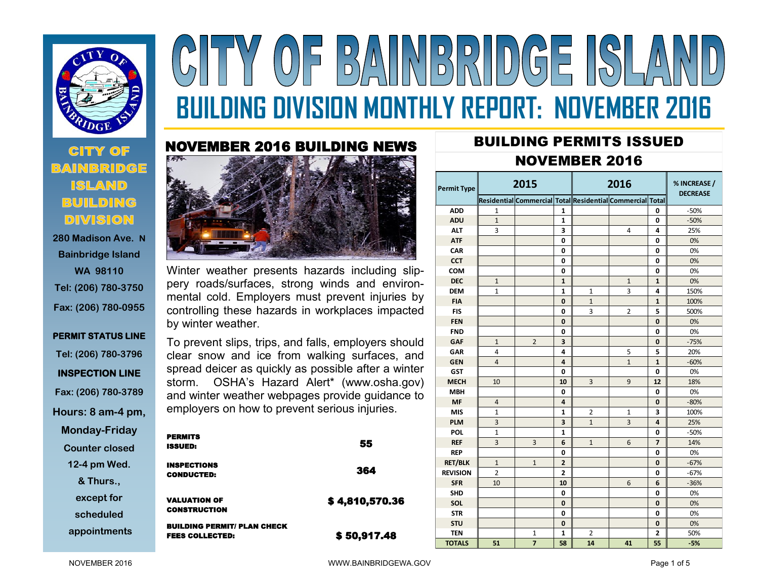

# Y OF BAINBRIDGE SLA **BUILDING DIVISION MONTHLY REPORT: NOVEMBER 2016**

## **CITY OF BUILDING DIVISION**

**280 Madison Ave. N Bainbridge Island WA 98110 Tel: (206) 780-3750 Fax: (206) 780-0955**

**PERMIT STATUS LINE Tel: (206) 780-3796 INSPECTION LINE Fax: (206) 780-3789 Hours: 8 am-4 pm, Monday-Friday Counter closed 12-4 pm Wed. & Thurs.,** 

**except for** 

**scheduled**

**appointments**



Winter weather presents hazards including slippery roads/surfaces, strong winds and environmental cold. Employers must prevent injuries by controlling these hazards in workplaces impacted by winter weather.

To prevent slips, trips, and falls, employers should clear snow and ice from walking surfaces, and spread deicer as quickly as possible after a winter storm. OSHA's Hazard Alert\* (www.osha.gov) and winter weather webpages provide guidance to employers on how to prevent serious injuries.

| <b>PERMITS</b><br><b>ISSUED:</b>                             | 55             |
|--------------------------------------------------------------|----------------|
| <b>INSPECTIONS</b><br><b>CONDUCTED:</b>                      | 364            |
| <b>VALUATION OF</b><br><b>CONSTRUCTION</b>                   | \$4,810,570.36 |
| <b>BUILDING PERMIT/ PLAN CHECK</b><br><b>FEES COLLECTED:</b> | \$50,917.48    |

### BUILDING PERMITS ISSUED NOVEMBER 2016

| <b>Permit Type</b> | 2015           |                |                | 2016           |                                                           |                | % INCREASE /<br><b>DECREASE</b> |  |
|--------------------|----------------|----------------|----------------|----------------|-----------------------------------------------------------|----------------|---------------------------------|--|
|                    |                |                |                |                | Residential Commercial Total Residential Commercial Total |                |                                 |  |
| <b>ADD</b>         | 1              |                | $\mathbf{1}$   |                |                                                           | 0              | $-50%$                          |  |
| <b>ADU</b>         | $\mathbf{1}$   |                | $\mathbf{1}$   |                |                                                           | 0              | $-50%$                          |  |
| <b>ALT</b>         | 3              |                | 3              |                | 4                                                         | 4              | 25%                             |  |
| <b>ATF</b>         |                |                | 0              |                |                                                           | 0              | 0%                              |  |
| <b>CAR</b>         |                |                | 0              |                |                                                           | 0              | 0%                              |  |
| <b>CCT</b>         |                |                | 0              |                |                                                           | 0              | 0%                              |  |
| <b>COM</b>         |                |                | 0              |                |                                                           | 0              | 0%                              |  |
| <b>DEC</b>         | $\mathbf{1}$   |                | $\mathbf{1}$   |                | $\mathbf{1}$                                              | $\mathbf{1}$   | 0%                              |  |
| <b>DEM</b>         | $\mathbf{1}$   |                | $\mathbf{1}$   | $\mathbf{1}$   | 3                                                         | 4              | 150%                            |  |
| <b>FIA</b>         |                |                | 0              | $\mathbf{1}$   |                                                           | $\mathbf{1}$   | 100%                            |  |
| <b>FIS</b>         |                |                | 0              | 3              | 2                                                         | 5              | 500%                            |  |
| <b>FEN</b>         |                |                | 0              |                |                                                           | 0              | 0%                              |  |
| <b>FND</b>         |                |                | 0              |                |                                                           | 0              | 0%                              |  |
| <b>GAF</b>         | $\mathbf{1}$   | $\overline{2}$ | 3              |                |                                                           | 0              | $-75%$                          |  |
| <b>GAR</b>         | 4              |                | 4              |                | 5                                                         | 5              | 20%                             |  |
| <b>GEN</b>         | $\overline{4}$ |                | 4              |                | $\mathbf{1}$                                              | $\mathbf{1}$   | $-60%$                          |  |
| <b>GST</b>         |                |                | 0              |                |                                                           | 0              | 0%                              |  |
| <b>MECH</b>        | 10             |                | 10             | 3              | 9                                                         | 12             | 18%                             |  |
| <b>MBH</b>         |                |                | 0              |                |                                                           | 0              | 0%                              |  |
| <b>MF</b>          | $\overline{4}$ |                | 4              |                |                                                           | 0              | $-80%$                          |  |
| <b>MIS</b>         | $\mathbf{1}$   |                | $\mathbf{1}$   | $\overline{2}$ | 1                                                         | 3              | 100%                            |  |
| <b>PLM</b>         | 3              |                | 3              | $\mathbf{1}$   | 3                                                         | 4              | 25%                             |  |
| POL                | $\mathbf{1}$   |                | $\mathbf{1}$   |                |                                                           | 0              | $-50%$                          |  |
| <b>REF</b>         | 3              | 3              | 6              | $\mathbf{1}$   | 6                                                         | $\overline{7}$ | 14%                             |  |
| <b>REP</b>         |                |                | 0              |                |                                                           | 0              | 0%                              |  |
| <b>RET/BLK</b>     | $\mathbf{1}$   | $\mathbf{1}$   | $\overline{2}$ |                |                                                           | 0              | $-67%$                          |  |
| <b>REVISION</b>    | $\overline{2}$ |                | $\overline{2}$ |                |                                                           | 0              | $-67%$                          |  |
| <b>SFR</b>         | 10             |                | 10             |                | 6                                                         | 6              | $-36%$                          |  |
| <b>SHD</b>         |                |                | 0              |                |                                                           | 0              | 0%                              |  |
| <b>SOL</b>         |                |                | 0              |                |                                                           | 0              | 0%                              |  |
| <b>STR</b>         |                |                | 0              |                |                                                           | 0              | 0%                              |  |
| <b>STU</b>         |                |                | 0              |                |                                                           | 0              | 0%                              |  |
| <b>TEN</b>         |                | $\mathbf{1}$   | $\mathbf{1}$   | 2              |                                                           | 2              | 50%                             |  |
| <b>TOTALS</b>      | 51             | $\overline{7}$ | 58             | 14             | 41                                                        | 55             | $-5%$                           |  |

NOVEMBER 2016 **Page 1 of 5** WWW.BAINBRIDGEWA.GOV **Page 1 of 5**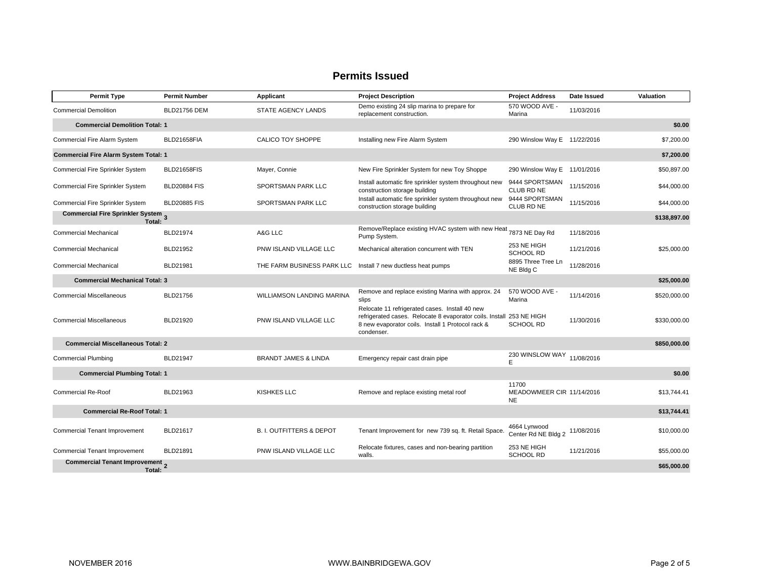| <b>Permit Type</b>                           | <b>Permit Number</b> | Applicant                           | <b>Project Description</b>                                                                                                                                                                | <b>Project Address</b>                          | Date Issued | Valuation    |
|----------------------------------------------|----------------------|-------------------------------------|-------------------------------------------------------------------------------------------------------------------------------------------------------------------------------------------|-------------------------------------------------|-------------|--------------|
| <b>Commercial Demolition</b>                 | <b>BLD21756 DEM</b>  | STATE AGENCY LANDS                  | Demo existing 24 slip marina to prepare for<br>replacement construction.                                                                                                                  | 570 WOOD AVE -<br>Marina                        | 11/03/2016  |              |
| <b>Commercial Demolition Total: 1</b>        |                      |                                     |                                                                                                                                                                                           |                                                 |             | \$0.00       |
| Commercial Fire Alarm System                 | BLD21658FIA          | CALICO TOY SHOPPE                   | Installing new Fire Alarm System                                                                                                                                                          | 290 Winslow Way E 11/22/2016                    |             | \$7,200.00   |
| <b>Commercial Fire Alarm System Total: 1</b> |                      |                                     |                                                                                                                                                                                           |                                                 |             | \$7,200.00   |
| Commercial Fire Sprinkler System             | <b>BLD21658FIS</b>   | Mayer, Connie                       | New Fire Sprinkler System for new Toy Shoppe                                                                                                                                              | 290 Winslow Way E 11/01/2016                    |             | \$50,897.00  |
| Commercial Fire Sprinkler System             | <b>BLD20884 FIS</b>  | SPORTSMAN PARK LLC                  | Install automatic fire sprinkler system throughout new<br>construction storage building                                                                                                   | 9444 SPORTSMAN<br>CLUB RD NE                    | 11/15/2016  | \$44,000.00  |
| Commercial Fire Sprinkler System             | <b>BLD20885 FIS</b>  | SPORTSMAN PARK LLC                  | Install automatic fire sprinkler system throughout new<br>construction storage building                                                                                                   | 9444 SPORTSMAN<br>CLUB RD NE                    | 11/15/2016  | \$44,000.00  |
| Commercial Fire Sprinkler System 3<br>Total: |                      |                                     |                                                                                                                                                                                           |                                                 |             | \$138,897.00 |
| Commercial Mechanical                        | <b>BLD21974</b>      | A&G LLC                             | Remove/Replace existing HVAC system with new Heat 7873 NE Day Rd<br>Pump System.                                                                                                          |                                                 | 11/18/2016  |              |
| <b>Commercial Mechanical</b>                 | BLD21952             | PNW ISLAND VILLAGE LLC              | Mechanical alteration concurrent with TEN                                                                                                                                                 | 253 NE HIGH<br><b>SCHOOL RD</b>                 | 11/21/2016  | \$25,000.00  |
| <b>Commercial Mechanical</b>                 | <b>BLD21981</b>      | THE FARM BUSINESS PARK LLC          | Install 7 new ductless heat pumps                                                                                                                                                         | 8895 Three Tree Ln<br>NE Bldg C                 | 11/28/2016  |              |
| <b>Commercial Mechanical Total: 3</b>        |                      |                                     |                                                                                                                                                                                           |                                                 |             | \$25,000.00  |
| <b>Commercial Miscellaneous</b>              | BLD21756             | WILLIAMSON LANDING MARINA           | Remove and replace existing Marina with approx. 24<br>slips                                                                                                                               | 570 WOOD AVE -<br>Marina                        | 11/14/2016  | \$520,000.00 |
| <b>Commercial Miscellaneous</b>              | BLD21920             | PNW ISLAND VILLAGE LLC              | Relocate 11 refrigerated cases. Install 40 new<br>refrigerated cases. Relocate 8 evaporator coils. Install 253 NE HIGH<br>8 new evaporator coils. Install 1 Protocol rack &<br>condenser. | <b>SCHOOL RD</b>                                | 11/30/2016  | \$330,000.00 |
| <b>Commercial Miscellaneous Total: 2</b>     |                      |                                     |                                                                                                                                                                                           |                                                 |             | \$850,000.00 |
| <b>Commercial Plumbing</b>                   | <b>BLD21947</b>      | <b>BRANDT JAMES &amp; LINDA</b>     | Emergency repair cast drain pipe                                                                                                                                                          | 230 WINSLOW WAY<br>E                            | 11/08/2016  |              |
| <b>Commercial Plumbing Total: 1</b>          |                      |                                     |                                                                                                                                                                                           |                                                 |             | \$0.00       |
| <b>Commercial Re-Roof</b>                    | BLD21963             | KISHKES LLC                         | Remove and replace existing metal roof                                                                                                                                                    | 11700<br>MEADOWMEER CIR 11/14/2016<br><b>NE</b> |             | \$13.744.41  |
| <b>Commercial Re-Roof Total: 1</b>           |                      |                                     |                                                                                                                                                                                           |                                                 |             | \$13,744.41  |
| <b>Commercial Tenant Improvement</b>         | <b>BLD21617</b>      | <b>B. I. OUTFITTERS &amp; DEPOT</b> | Tenant Improvement for new 739 sq. ft. Retail Space.                                                                                                                                      | 4664 Lynwood<br>Center Rd NE Bldg 2             | 11/08/2016  | \$10,000.00  |
| <b>Commercial Tenant Improvement</b>         | BLD21891             | PNW ISLAND VILLAGE LLC              | Relocate fixtures, cases and non-bearing partition<br>walls.                                                                                                                              | 253 NE HIGH<br><b>SCHOOL RD</b>                 | 11/21/2016  | \$55,000.00  |
| Commercial Tenant Improvement 2<br>Total:    |                      |                                     |                                                                                                                                                                                           |                                                 |             | \$65,000.00  |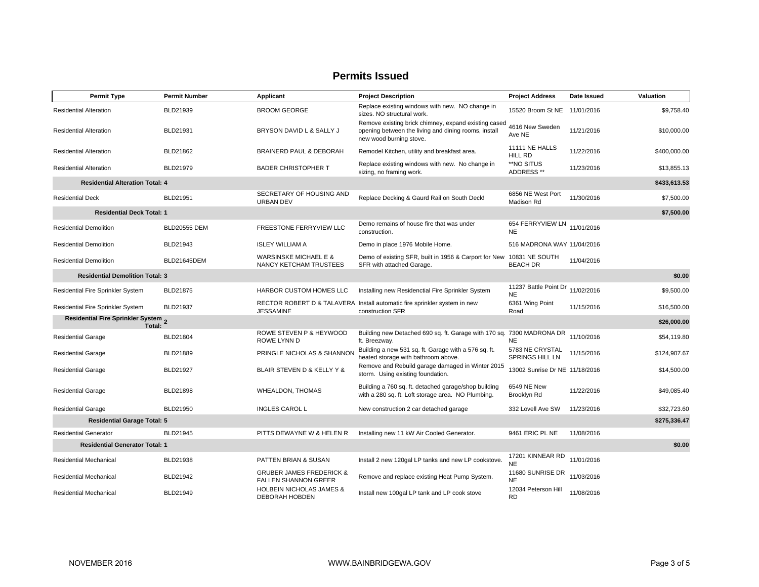| <b>Permit Type</b>                            | <b>Permit Number</b> | Applicant                                                          | <b>Project Description</b>                                                                                                              | <b>Project Address</b>                    | Date Issued | Valuation    |
|-----------------------------------------------|----------------------|--------------------------------------------------------------------|-----------------------------------------------------------------------------------------------------------------------------------------|-------------------------------------------|-------------|--------------|
| <b>Residential Alteration</b>                 | BLD21939             | <b>BROOM GEORGE</b>                                                | Replace existing windows with new. NO change in<br>sizes. NO structural work.                                                           | 15520 Broom St NE                         | 11/01/2016  | \$9.758.40   |
| <b>Residential Alteration</b>                 | BLD21931             | BRYSON DAVID L & SALLY J                                           | Remove existing brick chimney, expand existing cased<br>opening between the living and dining rooms, install<br>new wood burning stove. | 4616 New Sweden<br>Ave NE                 | 11/21/2016  | \$10,000.00  |
| <b>Residential Alteration</b>                 | BLD21862             | BRAINERD PAUL & DEBORAH                                            | Remodel Kitchen, utility and breakfast area.                                                                                            | 11111 NE HALLS<br>HILL RD                 | 11/22/2016  | \$400,000.00 |
| <b>Residential Alteration</b>                 | BLD21979             | <b>BADER CHRISTOPHER T</b>                                         | Replace existing windows with new. No change in<br>sizing, no framing work.                                                             | **NO SITUS<br>ADDRESS **                  | 11/23/2016  | \$13,855.13  |
| <b>Residential Alteration Total: 4</b>        |                      |                                                                    |                                                                                                                                         |                                           |             | \$433,613.53 |
| <b>Residential Deck</b>                       | BLD21951             | SECRETARY OF HOUSING AND<br><b>URBAN DEV</b>                       | Replace Decking & Gaurd Rail on South Deck!                                                                                             | 6856 NE West Port<br>Madison Rd           | 11/30/2016  | \$7,500.00   |
| <b>Residential Deck Total: 1</b>              |                      |                                                                    |                                                                                                                                         |                                           |             | \$7,500.00   |
| <b>Residential Demolition</b>                 | <b>BLD20555 DEM</b>  | FREESTONE FERRYVIEW LLC                                            | Demo remains of house fire that was under<br>construction.                                                                              | 654 FERRYVIEW LN<br><b>NE</b>             | 11/01/2016  |              |
| <b>Residential Demolition</b>                 | BLD21943             | <b>ISLEY WILLIAM A</b>                                             | Demo in place 1976 Mobile Home.                                                                                                         | 516 MADRONA WAY 11/04/2016                |             |              |
| <b>Residential Demolition</b>                 | BLD21645DEM          | <b>WARSINSKE MICHAEL E &amp;</b><br>NANCY KETCHAM TRUSTEES         | Demo of existing SFR, built in 1956 & Carport for New<br>SFR with attached Garage.                                                      | 10831 NE SOUTH<br><b>BEACH DR</b>         | 11/04/2016  |              |
| <b>Residential Demolition Total: 3</b>        |                      |                                                                    |                                                                                                                                         |                                           |             | \$0.00       |
| Residential Fire Sprinkler System             | <b>BLD21875</b>      | HARBOR CUSTOM HOMES LLC                                            | Installing new Residenctial Fire Sprinkler System                                                                                       | 11237 Battle Point Dr<br><b>NE</b>        | 11/02/2016  | \$9,500.00   |
| Residential Fire Sprinkler System             | BLD21937             | <b>JESSAMINE</b>                                                   | RECTOR ROBERT D & TALAVERA Install automatic fire sprinkler system in new<br>construction SFR                                           | 6361 Wing Point<br>Road                   | 11/15/2016  | \$16,500.00  |
| Residential Fire Sprinkler System 2<br>Total: |                      |                                                                    |                                                                                                                                         |                                           |             | \$26,000.00  |
| <b>Residential Garage</b>                     | BLD21804             | ROWE STEVEN P & HEYWOOD<br>ROWE LYNN D                             | Building new Detached 690 sq. ft. Garage with 170 sq. 7300 MADRONA DR<br>ft. Breezway.                                                  | <b>NE</b>                                 | 11/10/2016  | \$54,119.80  |
| <b>Residential Garage</b>                     | BLD21889             | PRINGLE NICHOLAS & SHANNON                                         | Building a new 531 sq. ft. Garage with a 576 sq. ft.<br>heated storage with bathroom above.                                             | 5783 NE CRYSTAL<br><b>SPRINGS HILL LN</b> | 11/15/2016  | \$124,907.67 |
| <b>Residential Garage</b>                     | <b>BLD21927</b>      | BLAIR STEVEN D & KELLY Y &                                         | Remove and Rebuild garage damaged in Winter 2015<br>storm. Using existing foundation.                                                   | 13002 Sunrise Dr NE 11/18/2016            |             | \$14,500.00  |
| <b>Residential Garage</b>                     | <b>BLD21898</b>      | <b>WHEALDON, THOMAS</b>                                            | Building a 760 sq. ft. detached garage/shop building<br>with a 280 sq. ft. Loft storage area. NO Plumbing.                              | 6549 NE New<br>Brooklyn Rd                | 11/22/2016  | \$49,085.40  |
| <b>Residential Garage</b>                     | BLD21950             | <b>INGLES CAROL L</b>                                              | New construction 2 car detached garage                                                                                                  | 332 Lovell Ave SW                         | 11/23/2016  | \$32,723.60  |
| <b>Residential Garage Total: 5</b>            |                      |                                                                    |                                                                                                                                         |                                           |             | \$275,336.47 |
| <b>Residential Generator</b>                  | BLD21945             | PITTS DEWAYNE W & HELEN R                                          | Installing new 11 kW Air Cooled Generator.                                                                                              | 9461 ERIC PL NE                           | 11/08/2016  |              |
| <b>Residential Generator Total: 1</b>         |                      |                                                                    |                                                                                                                                         |                                           |             | \$0.00       |
| <b>Residential Mechanical</b>                 | BLD21938             | PATTEN BRIAN & SUSAN                                               | Install 2 new 120gal LP tanks and new LP cookstove.                                                                                     | 17201 KINNEAR RD<br><b>NE</b>             | 11/01/2016  |              |
| <b>Residential Mechanical</b>                 | BLD21942             | <b>GRUBER JAMES FREDERICK &amp;</b><br><b>FALLEN SHANNON GREER</b> | Remove and replace existing Heat Pump System.                                                                                           | 11680 SUNRISE DR<br><b>NE</b>             | 11/03/2016  |              |
| <b>Residential Mechanical</b>                 | BLD21949             | <b>HOLBEIN NICHOLAS JAMES &amp;</b><br>DEBORAH HOBDEN              | Install new 100gal LP tank and LP cook stove                                                                                            | 12034 Peterson Hill<br><b>RD</b>          | 11/08/2016  |              |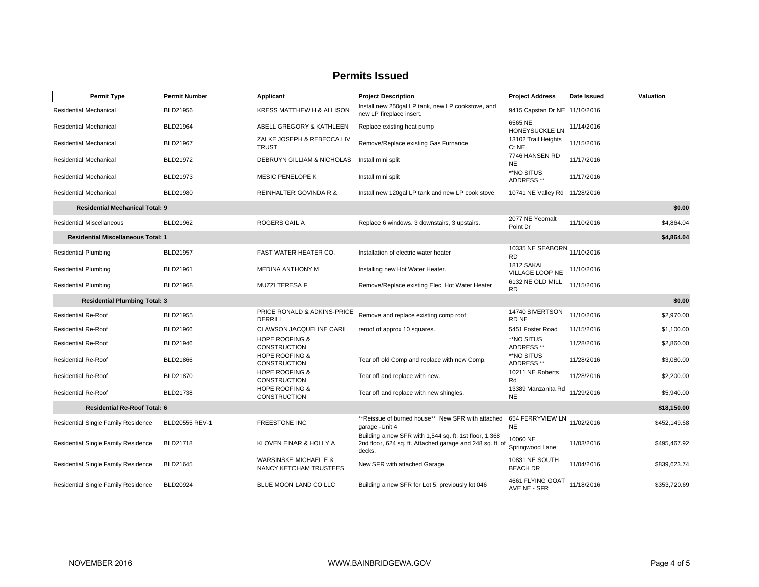| <b>Permit Type</b>                                 | <b>Permit Number</b> | Applicant                                                  | <b>Project Description</b>                                                                                                    | <b>Project Address</b>            | Date Issued | Valuation    |
|----------------------------------------------------|----------------------|------------------------------------------------------------|-------------------------------------------------------------------------------------------------------------------------------|-----------------------------------|-------------|--------------|
| Residential Mechanical                             | BLD21956             | KRESS MATTHEW H & ALLISON                                  | Install new 250gal LP tank, new LP cookstove, and<br>new LP fireplace insert.                                                 | 9415 Capstan Dr NE 11/10/2016     |             |              |
| <b>Residential Mechanical</b>                      | BLD21964             | ABELL GREGORY & KATHLEEN                                   | Replace existing heat pump                                                                                                    | 6565 NE<br>HONEYSUCKLE LN         | 11/14/2016  |              |
| Residential Mechanical                             | BLD21967             | ZALKE JOSEPH & REBECCA LIV<br><b>TRUST</b>                 | Remove/Replace existing Gas Furnance.                                                                                         | 13102 Trail Heights<br>Ct NE      | 11/15/2016  |              |
| Residential Mechanical                             | BLD21972             | DEBRUYN GILLIAM & NICHOLAS                                 | Install mini split                                                                                                            | 7746 HANSEN RD<br><b>NE</b>       | 11/17/2016  |              |
| Residential Mechanical                             | BLD21973             | <b>MESIC PENELOPE K</b>                                    | Install mini split                                                                                                            | **NO SITUS<br>ADDRESS**           | 11/17/2016  |              |
| Residential Mechanical                             | BLD21980             | REINHALTER GOVINDA R &                                     | Install new 120gal LP tank and new LP cook stove                                                                              | 10741 NE Valley Rd 11/28/2016     |             |              |
| <b>Residential Mechanical Total: 9</b>             |                      |                                                            |                                                                                                                               |                                   |             | \$0.00       |
| <b>Residential Miscellaneous</b>                   | BLD21962             | ROGERS GAIL A                                              | Replace 6 windows. 3 downstairs, 3 upstairs.                                                                                  | 2077 NE Yeomalt<br>Point Dr       | 11/10/2016  | \$4,864.04   |
| <b>Residential Miscellaneous Total: 1</b>          |                      |                                                            |                                                                                                                               |                                   |             | \$4,864.04   |
| <b>Residential Plumbing</b>                        | BLD21957             | FAST WATER HEATER CO.                                      | Installation of electric water heater                                                                                         | 10335 NE SEABORN<br><b>RD</b>     | 11/10/2016  |              |
| <b>Residential Plumbing</b>                        | BLD21961             | <b>MEDINA ANTHONY M</b>                                    | Installing new Hot Water Heater.                                                                                              | 1812 SAKAI<br>VILLAGE LOOP NE     | 11/10/2016  |              |
| <b>Residential Plumbing</b>                        | BLD21968             | <b>MUZZI TERESA F</b>                                      | Remove/Replace existing Elec. Hot Water Heater                                                                                | 6132 NE OLD MILL<br>RD            | 11/15/2016  |              |
| <b>Residential Plumbing Total: 3</b>               |                      |                                                            |                                                                                                                               |                                   |             | \$0.00       |
| <b>Residential Re-Roof</b>                         | BLD21955             | PRICE RONALD & ADKINS-PRICE<br><b>DERRILL</b>              | Remove and replace existing comp roof                                                                                         | 14740 SIVERTSON<br>RD NE          | 11/10/2016  | \$2,970.00   |
| <b>Residential Re-Roof</b>                         | BLD21966             | <b>CLAWSON JACQUELINE CARII</b>                            | reroof of approx 10 squares.                                                                                                  | 5451 Foster Road                  | 11/15/2016  | \$1,100.00   |
| <b>Residential Re-Roof</b>                         | BLD21946             | <b>HOPE ROOFING &amp;</b><br><b>CONSTRUCTION</b>           |                                                                                                                               | **NO SITUS<br>ADDRESS **          | 11/28/2016  | \$2,860.00   |
| <b>Residential Re-Roof</b>                         | BLD21866             | <b>HOPE ROOFING &amp;</b><br><b>CONSTRUCTION</b>           | Tear off old Comp and replace with new Comp.                                                                                  | **NO SITUS<br>ADDRESS **          | 11/28/2016  | \$3,080.00   |
| <b>Residential Re-Roof</b>                         | BLD21870             | <b>HOPE ROOFING &amp;</b><br><b>CONSTRUCTION</b>           | Tear off and replace with new.                                                                                                | 10211 NE Roberts<br>Rd            | 11/28/2016  | \$2,200.00   |
| <b>Residential Re-Roof</b>                         | BLD21738             | <b>HOPE ROOFING &amp;</b><br><b>CONSTRUCTION</b>           | Tear off and replace with new shingles.                                                                                       | 13389 Manzanita Rd<br><b>NE</b>   | 11/29/2016  | \$5,940.00   |
| <b>Residential Re-Roof Total: 6</b><br>\$18,150.00 |                      |                                                            |                                                                                                                               |                                   |             |              |
| Residential Single Family Residence                | BLD20555 REV-1       | <b>FREESTONE INC</b>                                       | ** Reissue of burned house** New SFR with attached 654 FERRYVIEW LN<br>garage - Unit 4                                        | <b>NE</b>                         | 11/02/2016  | \$452,149.68 |
| Residential Single Family Residence                | BLD21718             | KLOVEN EINAR & HOLLY A                                     | Building a new SFR with 1,544 sq. ft. 1st floor, 1,368<br>2nd floor, 624 sq. ft. Attached garage and 248 sq. ft. of<br>decks. | 10060 NE<br>Springwood Lane       | 11/03/2016  | \$495,467.92 |
| Residential Single Family Residence                | BLD21645             | <b>WARSINSKE MICHAEL E &amp;</b><br>NANCY KETCHAM TRUSTEES | New SFR with attached Garage.                                                                                                 | 10831 NE SOUTH<br><b>BEACH DR</b> | 11/04/2016  | \$839,623.74 |
| Residential Single Family Residence                | <b>BLD20924</b>      | BLUE MOON LAND CO LLC                                      | Building a new SFR for Lot 5, previously lot 046                                                                              | 4661 FLYING GOAT<br>AVE NE - SFR  | 11/18/2016  | \$353,720.69 |